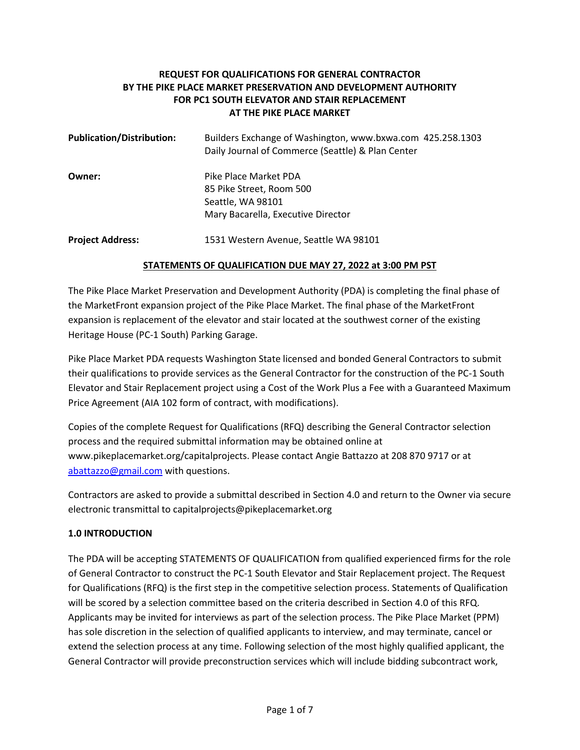# **REQUEST FOR QUALIFICATIONS FOR GENERAL CONTRACTOR BY THE PIKE PLACE MARKET PRESERVATION AND DEVELOPMENT AUTHORITY FOR PC1 SOUTH ELEVATOR AND STAIR REPLACEMENT AT THE PIKE PLACE MARKET**

| <b>Publication/Distribution:</b> | Builders Exchange of Washington, www.bxwa.com 425.258.1303<br>Daily Journal of Commerce (Seattle) & Plan Center |
|----------------------------------|-----------------------------------------------------------------------------------------------------------------|
| Owner:                           | Pike Place Market PDA<br>85 Pike Street, Room 500<br>Seattle, WA 98101<br>Mary Bacarella, Executive Director    |
| <b>Project Address:</b>          | 1531 Western Avenue, Seattle WA 98101                                                                           |

### **STATEMENTS OF QUALIFICATION DUE MAY 27, 2022 at 3:00 PM PST**

The Pike Place Market Preservation and Development Authority (PDA) is completing the final phase of the MarketFront expansion project of the Pike Place Market. The final phase of the MarketFront expansion is replacement of the elevator and stair located at the southwest corner of the existing Heritage House (PC-1 South) Parking Garage.

Pike Place Market PDA requests Washington State licensed and bonded General Contractors to submit their qualifications to provide services as the General Contractor for the construction of the PC-1 South Elevator and Stair Replacement project using a Cost of the Work Plus a Fee with a Guaranteed Maximum Price Agreement (AIA 102 form of contract, with modifications).

Copies of the complete Request for Qualifications (RFQ) describing the General Contractor selection process and the required submittal information may be obtained online at www.pikeplacemarket.org/capitalprojects. Please contact Angie Battazzo at 208 870 9717 or at [abattazzo@gmail.com](mailto:abattazzo@gmail.com) with questions.

Contractors are asked to provide a submittal described in Section 4.0 and return to the Owner via secure electronic transmittal to capitalprojects@pikeplacemarket.org

## **1.0 INTRODUCTION**

The PDA will be accepting STATEMENTS OF QUALIFICATION from qualified experienced firms for the role of General Contractor to construct the PC-1 South Elevator and Stair Replacement project. The Request for Qualifications (RFQ) is the first step in the competitive selection process. Statements of Qualification will be scored by a selection committee based on the criteria described in Section 4.0 of this RFQ. Applicants may be invited for interviews as part of the selection process. The Pike Place Market (PPM) has sole discretion in the selection of qualified applicants to interview, and may terminate, cancel or extend the selection process at any time. Following selection of the most highly qualified applicant, the General Contractor will provide preconstruction services which will include bidding subcontract work,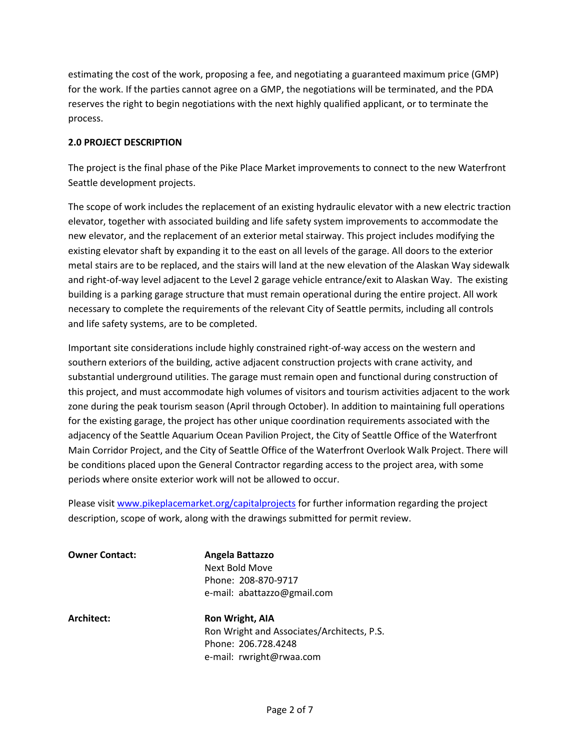estimating the cost of the work, proposing a fee, and negotiating a guaranteed maximum price (GMP) for the work. If the parties cannot agree on a GMP, the negotiations will be terminated, and the PDA reserves the right to begin negotiations with the next highly qualified applicant, or to terminate the process.

#### **2.0 PROJECT DESCRIPTION**

The project is the final phase of the Pike Place Market improvements to connect to the new Waterfront Seattle development projects.

The scope of work includes the replacement of an existing hydraulic elevator with a new electric traction elevator, together with associated building and life safety system improvements to accommodate the new elevator, and the replacement of an exterior metal stairway. This project includes modifying the existing elevator shaft by expanding it to the east on all levels of the garage. All doors to the exterior metal stairs are to be replaced, and the stairs will land at the new elevation of the Alaskan Way sidewalk and right-of-way level adjacent to the Level 2 garage vehicle entrance/exit to Alaskan Way. The existing building is a parking garage structure that must remain operational during the entire project. All work necessary to complete the requirements of the relevant City of Seattle permits, including all controls and life safety systems, are to be completed.

Important site considerations include highly constrained right-of-way access on the western and southern exteriors of the building, active adjacent construction projects with crane activity, and substantial underground utilities. The garage must remain open and functional during construction of this project, and must accommodate high volumes of visitors and tourism activities adjacent to the work zone during the peak tourism season (April through October). In addition to maintaining full operations for the existing garage, the project has other unique coordination requirements associated with the adjacency of the Seattle Aquarium Ocean Pavilion Project, the City of Seattle Office of the Waterfront Main Corridor Project, and the City of Seattle Office of the Waterfront Overlook Walk Project. There will be conditions placed upon the General Contractor regarding access to the project area, with some periods where onsite exterior work will not be allowed to occur.

Please visi[t www.pikeplacemarket.org/capitalprojects](http://www.pikeplacemarket.org/capitalprojects) for further information regarding the project description, scope of work, along with the drawings submitted for permit review.

**Owner Contact: Angela Battazzo** Next Bold Move Phone: 208-870-9717 e-mail: abattazzo@gmail.com

**Architect: Ron Wright, AIA** Ron Wright and Associates/Architects, P.S. Phone: 206.728.4248 e-mail: rwright@rwaa.com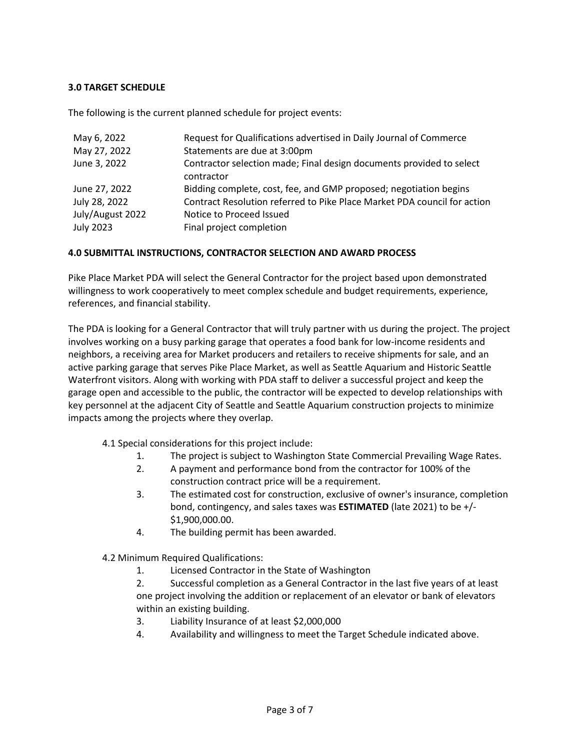### **3.0 TARGET SCHEDULE**

The following is the current planned schedule for project events:

| May 6, 2022<br>May 27, 2022<br>June 3, 2022 | Request for Qualifications advertised in Daily Journal of Commerce<br>Statements are due at 3:00pm<br>Contractor selection made; Final design documents provided to select<br>contractor |
|---------------------------------------------|------------------------------------------------------------------------------------------------------------------------------------------------------------------------------------------|
| June 27, 2022                               | Bidding complete, cost, fee, and GMP proposed; negotiation begins                                                                                                                        |
| July 28, 2022                               | Contract Resolution referred to Pike Place Market PDA council for action                                                                                                                 |
| July/August 2022                            | Notice to Proceed Issued                                                                                                                                                                 |
| <b>July 2023</b>                            | Final project completion                                                                                                                                                                 |

### **4.0 SUBMITTAL INSTRUCTIONS, CONTRACTOR SELECTION AND AWARD PROCESS**

Pike Place Market PDA will select the General Contractor for the project based upon demonstrated willingness to work cooperatively to meet complex schedule and budget requirements, experience, references, and financial stability.

The PDA is looking for a General Contractor that will truly partner with us during the project. The project involves working on a busy parking garage that operates a food bank for low-income residents and neighbors, a receiving area for Market producers and retailers to receive shipments for sale, and an active parking garage that serves Pike Place Market, as well as Seattle Aquarium and Historic Seattle Waterfront visitors. Along with working with PDA staff to deliver a successful project and keep the garage open and accessible to the public, the contractor will be expected to develop relationships with key personnel at the adjacent City of Seattle and Seattle Aquarium construction projects to minimize impacts among the projects where they overlap.

- 4.1 Special considerations for this project include:
	- 1. The project is subject to Washington State Commercial Prevailing Wage Rates.
	- 2. A payment and performance bond from the contractor for 100% of the construction contract price will be a requirement.
	- 3. The estimated cost for construction, exclusive of owner's insurance, completion bond, contingency, and sales taxes was **ESTIMATED** (late 2021) to be +/- \$1,900,000.00.
	- 4. The building permit has been awarded.

4.2 Minimum Required Qualifications:

1. Licensed Contractor in the State of Washington

2. Successful completion as a General Contractor in the last five years of at least one project involving the addition or replacement of an elevator or bank of elevators within an existing building.

- 3. Liability Insurance of at least \$2,000,000
- 4. Availability and willingness to meet the Target Schedule indicated above.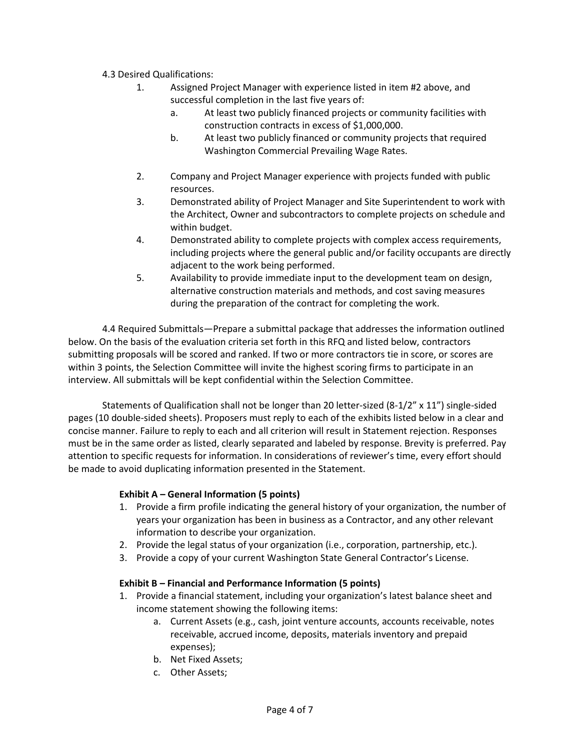### 4.3 Desired Qualifications:

- 1. Assigned Project Manager with experience listed in item #2 above, and successful completion in the last five years of:
	- a. At least two publicly financed projects or community facilities with construction contracts in excess of \$1,000,000.
	- b. At least two publicly financed or community projects that required Washington Commercial Prevailing Wage Rates.
- 2. Company and Project Manager experience with projects funded with public resources.
- 3. Demonstrated ability of Project Manager and Site Superintendent to work with the Architect, Owner and subcontractors to complete projects on schedule and within budget.
- 4. Demonstrated ability to complete projects with complex access requirements, including projects where the general public and/or facility occupants are directly adjacent to the work being performed.
- 5. Availability to provide immediate input to the development team on design, alternative construction materials and methods, and cost saving measures during the preparation of the contract for completing the work.

4.4 Required Submittals—Prepare a submittal package that addresses the information outlined below. On the basis of the evaluation criteria set forth in this RFQ and listed below, contractors submitting proposals will be scored and ranked. If two or more contractors tie in score, or scores are within 3 points, the Selection Committee will invite the highest scoring firms to participate in an interview. All submittals will be kept confidential within the Selection Committee.

Statements of Qualification shall not be longer than 20 letter-sized (8-1/2" x 11") single-sided pages (10 double-sided sheets). Proposers must reply to each of the exhibits listed below in a clear and concise manner. Failure to reply to each and all criterion will result in Statement rejection. Responses must be in the same order as listed, clearly separated and labeled by response. Brevity is preferred. Pay attention to specific requests for information. In considerations of reviewer's time, every effort should be made to avoid duplicating information presented in the Statement.

## **Exhibit A – General Information (5 points)**

- 1. Provide a firm profile indicating the general history of your organization, the number of years your organization has been in business as a Contractor, and any other relevant information to describe your organization.
- 2. Provide the legal status of your organization (i.e., corporation, partnership, etc.).
- 3. Provide a copy of your current Washington State General Contractor's License.

## **Exhibit B – Financial and Performance Information (5 points)**

- 1. Provide a financial statement, including your organization's latest balance sheet and income statement showing the following items:
	- a. Current Assets (e.g., cash, joint venture accounts, accounts receivable, notes receivable, accrued income, deposits, materials inventory and prepaid expenses);
	- b. Net Fixed Assets;
	- c. Other Assets;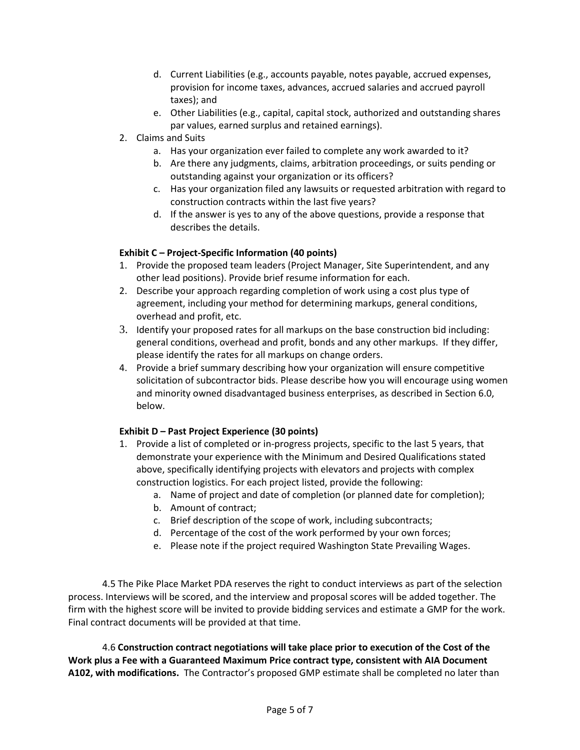- d. Current Liabilities (e.g., accounts payable, notes payable, accrued expenses, provision for income taxes, advances, accrued salaries and accrued payroll taxes); and
- e. Other Liabilities (e.g., capital, capital stock, authorized and outstanding shares par values, earned surplus and retained earnings).
- 2. Claims and Suits
	- a. Has your organization ever failed to complete any work awarded to it?
	- b. Are there any judgments, claims, arbitration proceedings, or suits pending or outstanding against your organization or its officers?
	- c. Has your organization filed any lawsuits or requested arbitration with regard to construction contracts within the last five years?
	- d. If the answer is yes to any of the above questions, provide a response that describes the details.

### **Exhibit C – Project-Specific Information (40 points)**

- 1. Provide the proposed team leaders (Project Manager, Site Superintendent, and any other lead positions). Provide brief resume information for each.
- 2. Describe your approach regarding completion of work using a cost plus type of agreement, including your method for determining markups, general conditions, overhead and profit, etc.
- 3. Identify your proposed rates for all markups on the base construction bid including: general conditions, overhead and profit, bonds and any other markups. If they differ, please identify the rates for all markups on change orders.
- 4. Provide a brief summary describing how your organization will ensure competitive solicitation of subcontractor bids. Please describe how you will encourage using women and minority owned disadvantaged business enterprises, as described in Section 6.0, below.

#### **Exhibit D – Past Project Experience (30 points)**

- 1. Provide a list of completed or in-progress projects, specific to the last 5 years, that demonstrate your experience with the Minimum and Desired Qualifications stated above, specifically identifying projects with elevators and projects with complex construction logistics. For each project listed, provide the following:
	- a. Name of project and date of completion (or planned date for completion);
	- b. Amount of contract;
	- c. Brief description of the scope of work, including subcontracts;
	- d. Percentage of the cost of the work performed by your own forces;
	- e. Please note if the project required Washington State Prevailing Wages.

4.5 The Pike Place Market PDA reserves the right to conduct interviews as part of the selection process. Interviews will be scored, and the interview and proposal scores will be added together. The firm with the highest score will be invited to provide bidding services and estimate a GMP for the work. Final contract documents will be provided at that time.

4.6 **Construction contract negotiations will take place prior to execution of the Cost of the Work plus a Fee with a Guaranteed Maximum Price contract type, consistent with AIA Document A102, with modifications.** The Contractor's proposed GMP estimate shall be completed no later than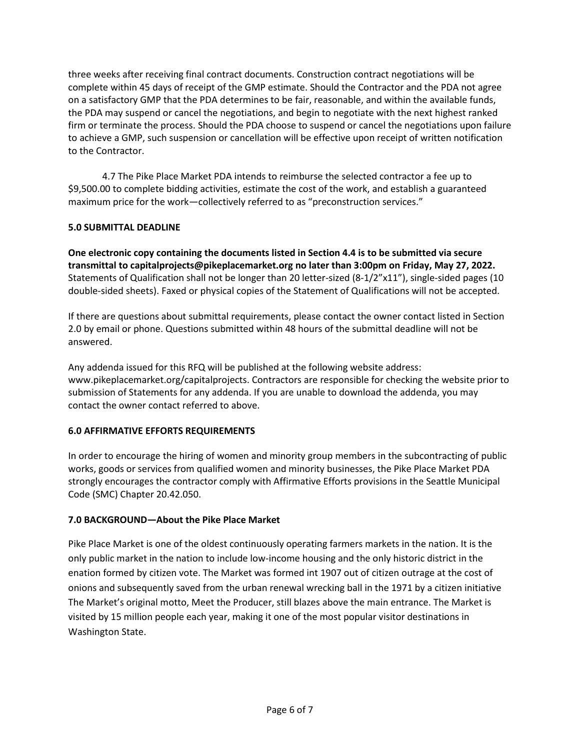three weeks after receiving final contract documents. Construction contract negotiations will be complete within 45 days of receipt of the GMP estimate. Should the Contractor and the PDA not agree on a satisfactory GMP that the PDA determines to be fair, reasonable, and within the available funds, the PDA may suspend or cancel the negotiations, and begin to negotiate with the next highest ranked firm or terminate the process. Should the PDA choose to suspend or cancel the negotiations upon failure to achieve a GMP, such suspension or cancellation will be effective upon receipt of written notification to the Contractor.

4.7 The Pike Place Market PDA intends to reimburse the selected contractor a fee up to \$9,500.00 to complete bidding activities, estimate the cost of the work, and establish a guaranteed maximum price for the work—collectively referred to as "preconstruction services."

## **5.0 SUBMITTAL DEADLINE**

**One electronic copy containing the documents listed in Section 4.4 is to be submitted via secure transmittal to capitalprojects@pikeplacemarket.org no later than 3:00pm on Friday, May 27, 2022.**  Statements of Qualification shall not be longer than 20 letter-sized (8-1/2"x11"), single-sided pages (10 double-sided sheets). Faxed or physical copies of the Statement of Qualifications will not be accepted.

If there are questions about submittal requirements, please contact the owner contact listed in Section 2.0 by email or phone. Questions submitted within 48 hours of the submittal deadline will not be answered.

Any addenda issued for this RFQ will be published at the following website address: www.pikeplacemarket.org/capitalprojects. Contractors are responsible for checking the website prior to submission of Statements for any addenda. If you are unable to download the addenda, you may contact the owner contact referred to above.

## **6.0 AFFIRMATIVE EFFORTS REQUIREMENTS**

In order to encourage the hiring of women and minority group members in the subcontracting of public works, goods or services from qualified women and minority businesses, the Pike Place Market PDA strongly encourages the contractor comply with Affirmative Efforts provisions in the Seattle Municipal Code (SMC) Chapter 20.42.050.

#### **7.0 BACKGROUND—About the Pike Place Market**

Pike Place Market is one of the oldest continuously operating farmers markets in the nation. It is the only public market in the nation to include low-income housing and the only historic district in the enation formed by citizen vote. The Market was formed int 1907 out of citizen outrage at the cost of onions and subsequently saved from the urban renewal wrecking ball in the 1971 by a citizen initiative The Market's original motto, Meet the Producer, still blazes above the main entrance. The Market is visited by 15 million people each year, making it one of the most popular visitor destinations in Washington State.